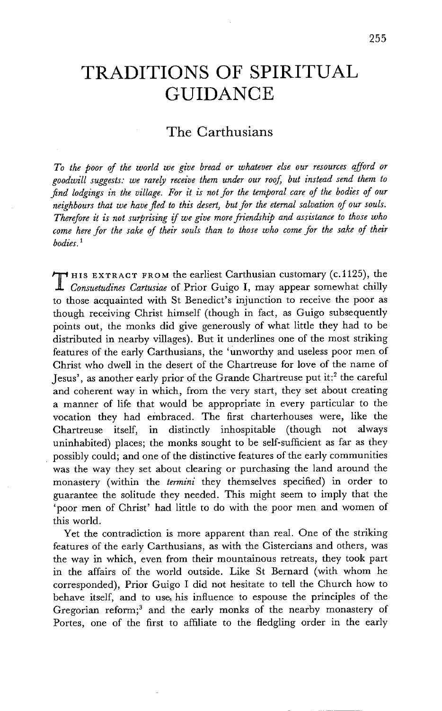# **TRADITIONS OF SPIRITUAL GUIDANCE**

## **The Carthusians**

*To the poor of the world we give bread or whatever else our resources afford or goodwill suggests: we rarely receive them under our roof but instead send them to find lodgings in the village. For it is not for the temporal care of the bodies of our neighbours that we have fled to this desert, but for the eternal salvation of our souls. Therefore it is not surprising if we give more friendship and assistance to those who come here for the sake of their souls than to those who come for the sake of their bodies. 1* 

**T** HIS EXTRACT FROM the earliest Carthusian customary (c.1125), the *Consuetudines Cartusiae* of Prior Guigo I, may appear somewhat chilly to those acquainted with St Benedict's injunction to receive the poor as though receiving Christ himself (though in fact, as Guigo subsequently points out, the monks did give generously of what little they had to be distributed in nearby villages). But it underlines one of the most striking features of the early Carthusians, the 'unworthy and useless poor men of Christ who dwell in the desert of the Chartreuse for love of the name of Jesus', as another early prior of the Grande Chartreuse put it:<sup>2</sup> the careful and coherent way in which, from the very start, they set about creating a manner of life that would be appropriate in every particular to the vocation they had embraced. The first charterhouses were, like the Chartreuse itself, in distinctly inhospitable (though not always uninhabited) places; the monks sought to be self-sufficient as far as they possibly could; and one of the distinctive features of the early communities was the way they set about clearing or purchasing the land around the monastery (within the *termini* they themselves specified) in order to guarantee the solitude they needed. This might seem to imply that the 'poor men of Christ' had little to do with the poor men and women of this world.

Yet the contradiction is more apparent than real. One of the striking features of the early Carthusians, as with the Cistercians and others, was the way in which, even from their mountainous retreats, they took part in the affairs of the world outside. Like St Bernard (with whom he corresponded), Prior Guigo I did not hesitate to tell the Church how to behave itself, and to use his influence to espouse the principles of the Gregorian reform;<sup>3</sup> and the early monks of the nearby monastery of Portes, one of the first to affiliate to the fledgling order in the early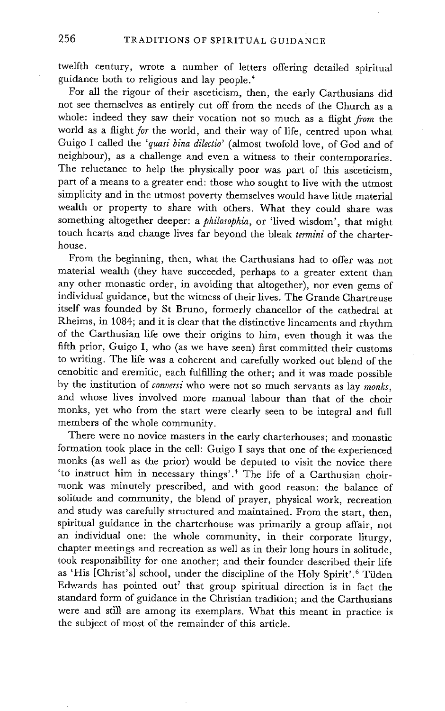twelfth century, wrote a number of letters offering detailed spiritual guidance both to religious and lay people. 4

For all the rigour of their asceticism, then, the early Carthusians did not see themselves as entirely cut off from the needs of the Church as a whole: indeed they saw their vocation not so much as a flight *from* the world as a *flight for* the world, and their way of life, centred upon what Guigo I called the *'quasi bina dilectio'* (almost twofold love, of God and of neighbour), as a challenge and even a witness to their contemporaries. The reluctance to help the physically poor was part of this asceticism, part of a means to a greater end: those who sought to live with the utmost simplicity and in the utmost poverty themselves would have little material wealth or property to share with others. What they could share was something altogether deeper: a *philosophia*, or 'lived wisdom', that might touch hearts and change lives far beyond the bleak *termini* of the charterhouse.

From the beginning, then, what the Carthusians had to offer was not material wealth (they have succeeded, perhaps to a greater extent than any other monastic order, in avoiding that altogether), nor even gems of individual guidance, but the witness of their lives. The Grande Chartreuse itself was founded by St Bruno, formerly chancellor of the cathedral at Rheims, in 1084; and it is clear that the distinctive lineaments and rhythm of the Carthusian life owe their origins to him, even though it was the fifth prior, Guigo I, who (as we have seen) first committed their customs to writing. The life was a coherent and carefully worked out blend of the cenobitic and eremitic, each fulfilling the other; and it was made possible by the institution of *conversi* who were not so much servants as lay *monks,*  and whose lives involved more manual labour than that of the choir monks, yet who from the start were clearly seen to be integral and full members of the whole community.

There were no novice masters in the early charterhouses; and monastic formation took place in the cell: Guigo I says that one of the experienced monks (as well as the prior) would be deputed to visit the novice there 'to instruct him in necessary things'.<sup>4</sup> The life of a Carthusian choirmonk was minutely prescribed, and with good reason: the balance of solitude and community, the blend of prayer, physical work, recreation and study was carefully structured and maintained. From the start, then, spiritual guidance in the charterhouse was primarily a group affair, not an individual one: the whole community, in their corporate liturgy, chapter meetings and recreation as well as in their long hours in solitude, took responsibility for one another; and their founder described their life as 'His [Christ's] school, under the discipline of the Holy Spirit' .6 Tilden Edwards has pointed out<sup>7</sup> that group spiritual direction is in fact the standard form of guidance in the Christian tradition; and the Carthusians were and still are among its exemplars. What this meant in practice is the subject of most of the remainder of this article.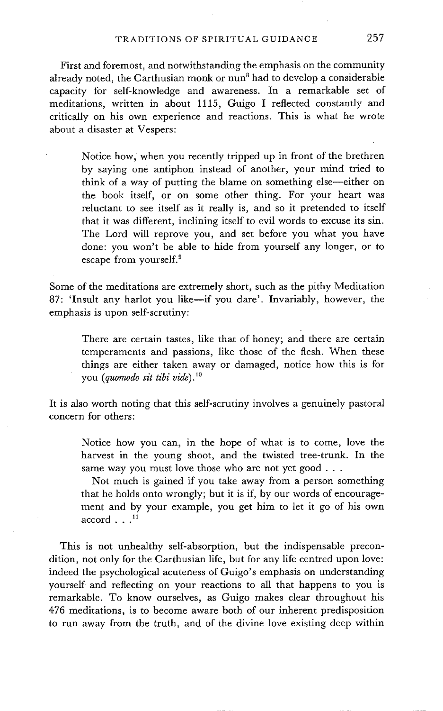### TRADITIONS OF SPIRITUAL GUIDANCE 257

First and foremost, and notwithstanding the emphasis on the community already noted, the Carthusian monk or  $\text{run}^3$  had to develop a considerable capacity for self-knowledge and awareness. In a remarkable set of meditations, written in about 1115, Guigo I reflected constantly and critically on his own experience and reactions. This is what he wrote about a disaster at Vespers:

Notice how, when you recently tripped up in front of the brethren by saying one antiphon instead of another, your mind tried to think of a way of putting the blame on something else--either on the book itself, or on some other thing. For your heart was reluctant to see itself as it really is, and so it pretended to itself that it was different, inclining itself to evil words to excuse its sin. The Lord will reprove you, and set before you what you have done: you won't be able to hide from yourself any longer, or to escape from yourself.<sup>9</sup>

Some of the meditations are extremely short, such as the pithy Meditation 87: 'Insult any harlot you like--if you dare'. Invariably, however, the emphasis is upon self-scrutiny:

There are certain tastes, like that of honey; and there are certain temperaments and passions, like those of the flesh. When these things are either taken away or damaged, notice how this is for you *(quornodo sit tibi vide). 1°* 

It is also worth noting that this self-scrutiny involves a genuinely pastoral concern for others:

Notice how you can, in the hope of what is to come, love the harvest in the young shoot, and the twisted tree-trunk. In the same way you must love those who are not yet good . . .

Not much is gained if you take away from a person something that he holds onto wrongly; but it is if, by our words of encouragement and by your example, you get him to let it go of his own accord... $^{11}$ 

This is not unhealthy self-absorption, but the indispensable precondition, not only for the Carthusian life, but for any life centred upon love: indeed the psychological acuteness of Guigo's emphasis on understanding yourself and reflecting on your reactions to all that happens to you is remarkable. To know ourselves, as Guigo makes clear throughout his 476 meditations, is to become aware both of our inherent predisposition to run away from the truth, and of the divine love existing deep within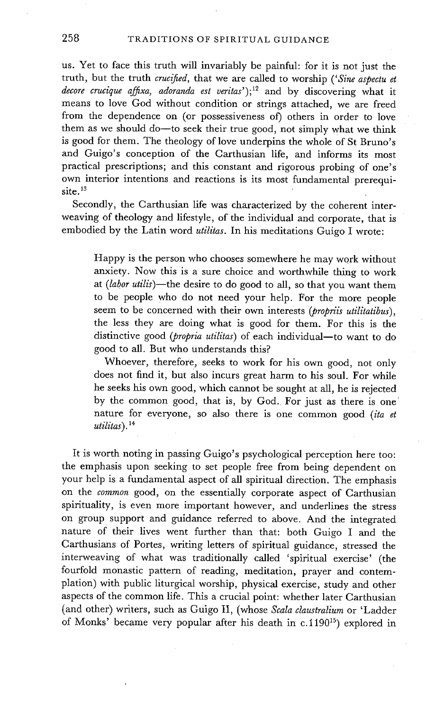us. Yet to face this truth will invariably be painful: for it is not just the truth, but the truth *crucified,* that we are called to worship *('Sine aspectu et decore crucique affixa, adoranda est veritas'); 12* and by discovering what it means to love God without condition or strings attached, we are freed from the dependence on (or possessiveness of) others in order to love them as we should do-to seek their true good, not simply what we think is good for them. The theology of love underpins the whole of St Bruno's and Guigo's conception of the Carthusian life, and informs its most practical prescriptions; and this constant and rigorous probing of one's own interior intentions and reactions is its most fundamental prerequisite.<sup>13</sup>

Secondly, the Carthusian life was characterized by the coherent interweaving of theology and lifestyle, of the individual and corporate, that is embodied by the Latin word *utilitas.* In his meditations Guigo I wrote:

Happy is the person who chooses somewhere he may work without anxiety. Now this is a sure choice and worthwhile thing to work at *(labor utilis)--the* desire to do good to all, so that you want them to be people who do not need your help. For the more people seem to be concerned with their own interests (propriis utilitatibus), the less they are doing what is good for them. For this is the distinctive good *(propria utilitas)* of each individual-to want to do good to all. But who understands this?

Whoever, therefore, seeks to work for his own good, not only does not find it, but also incurs great harm to his soul. For while he seeks his own good, which cannot be sought at all, he is rejected by the common good, that is, by God. For just as there is one nature for everyone, so also there is one common good *(ira et utilitas). 14* 

It is worth noting in passing Guigo's psychological perception here too: the emphasis upon seeking to set people free from being dependent on your help is a fundamental aspect of all spiritual direction. The emphasis on the *common* good, on the essentially corporate aspect of Carthusian spirituality, is even more important however, and underlines the stress on group support and guidance referred to above. And the integrated nature of their lives went further than that: both Guigo I and the Carthusians of Portes, writing letters of spiritual guidance, stressed the interweaving of what was traditionally called 'spiritual exercise' (the fourfold monastic pattern of reading, meditation, prayer and contemplation) with public liturgical worship, physical exercise, study and other aspects of the common life. This a crucial point: whether later Carthusian (and other) writers, such as Guigo II, (whose *Scala daustrdium* or 'Ladder of Monks' became very popular after his death in c.119015) explored in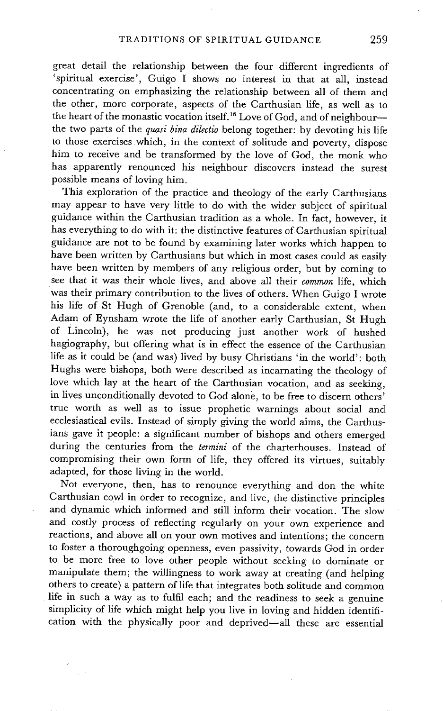great detail the relationship between the four different ingredients of 'spiritual exercise', Guigo I shows no interest in that at all, instead concentrating on emphasizing the relationship between all of them and the other, more corporate, aspects of the Carthusian life, as well as to the heart of the monastic vocation itself.<sup>16</sup> Love of God, and of neighbour-the two parts of the *quasi bina dilectio* belong together: by devoting his life to those exercises which, in the context of solitude and poverty, dispose him to receive and be transformed by the love of God, the monk who has apparently renounced his neighbour discovers instead the surest possible means of loving him.

This exploration of the practice and theology of the early Carthusians may appear to have very little to do with the wider subject of spiritual guidance within the Carthusian tradition as a whole. In fact, however, it has everything to do with it: the distinctive features of Carthusian spiritual guidance are not to be found by examining later works which happen to have been written by Carthusians but which in most cases could as easily have been written by members of any religious order, but by coming to see that it was their whole lives, and above all their *common* life, which was their primary contribution to the lives of others. When Guigo I wrote his life of St Hugh of Grenoble (and, to a considerable extent, when Adam of Eynsham wrote the life of another early Carthusian, St Hugh of Lincoln), he was not producing just another work of hushed hagiography, but offering what is in effect the essence of the Carthusian life as it could be (and was) lived by busy Christians 'in the world': both Hughs were bishops, both were described as incarnating the theology of love which lay at the heart of the Carthusian vocation, and as seeking, in lives unconditionally devoted to God alone, to be free to discern others' true worth as well as to issue prophetic warnings about social and ecclesiastical evils. Instead of simply giving the world aims, the Carthusians gave it people: a significant number of bishops and others emerged during the centuries from the *termini* of the charterhouses. Instead of compromising their own form of life, they offered its virtues, suitably adapted, for those living in the world.

Not everyone, then, has to renounce everything and don the white Carthusian cowl in order to recognize, and live, the distinctive principles and dynamic which informed and still inform their vocation. The slow and costly process of reflecting regularly on your own experience and reactions, and above all on your own motives and intentions; the concern to foster a thoroughgoing openness, even passivity, towards God in order to be more free to love other people without seeking to dominate or manipulate them; the willingness to work away at creating (and helping others to create) a pattern of life that integrates both solitude and common life in such a way as to fulfil each; and the readiness to seek a genuine simplicity of life which might help you live in loving and hidden identification with the physically poor and deprived--all these are essential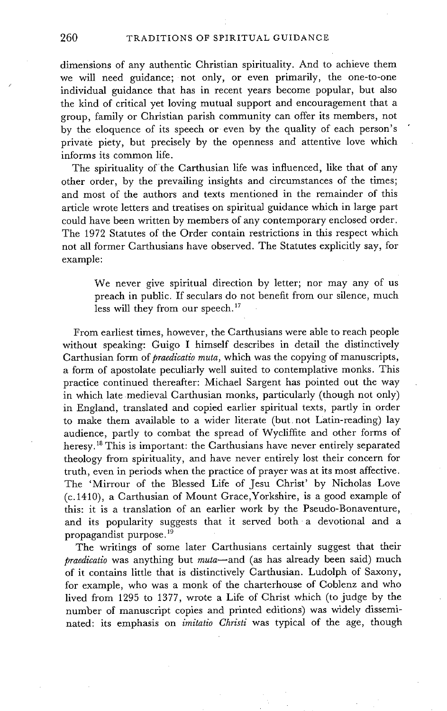dimensions of any authentic Christian spirituality. And to achieve them we will need guidance; not only, or even primarily, the one-to-one individual guidance that has in recent years become popular, but also the kind of critical yet loving mutual support and encouragement that a group, family or Christian parish community can offer its members, not by the eloquence of its speech or even by the quality of each person's private piety, but precisely by the openness and attentive love which informs its common life.

The spirituality of the Carthusian life was influenced, like that of any other order, by the prevailing insights and circumstances of the times; and most of the authors and texts mentioned in the remainder of this article wrote letters and treatises on spiritual guidance which in large part could have been written by members of any contemporary enclosed order. The 1972 Statutes of the Order contain restrictions in this respect which not all former Carthusians have observed. The Statutes explicitly say, for example:

We never give spiritual direction by letter; nor may any of us preach in public. If seculars do not benefit from our silence, much less will they from our speech.<sup>17</sup>

From earliest times, however, the Carthusians were able to reach people without speaking: Guigo I himself describes in detail the distinctively Carthusian form of *praedicatio muta*, which was the copying of manuscripts, a form of apostolate peculiarly well suited to contemplative monks. This practice continued thereafter: Michael Sargent has pointed out the way in which late medieval Carthusian monks, particularly (though not only) in England, translated and copied earlier spiritual texts, partly in order to make them available to a wider literate (but. not Latin-reading) lay audience, partly to combat the spread of Wycliffite and other forms of heresy.<sup>18</sup> This is important: the Carthusians have never entirely separated theology from spirituality, and have never entirely lost their concern for truth, even in periods when the practice of prayer was at its most affective. The 'Mirrour of the Blessed Life of Jesu Christ' by Nicholas Love (c.1410), a Carthusian of Mount Grace,Yorkshire, is a good example of this: it is a translation of an earlier work by the Pseudo-Bonaventure, and its popularity suggests that it served both a devotional and a propagandist purpose. 19

The writings of some later Carthusians certainly suggest that their *praedicatio* was anything but *muta--and* (as has already been said) much of it contains little that is distinctively Carthusian. Ludolph of Saxony, for example, who was a monk of the charterhouse of Coblenz and who lived from 1295 to 1377, wrote a Life of Christ which (to judge by the number of manuscript copies and printed editions) was widely disseminated: its emphasis on *irnitatio Christi* was typical of the age, though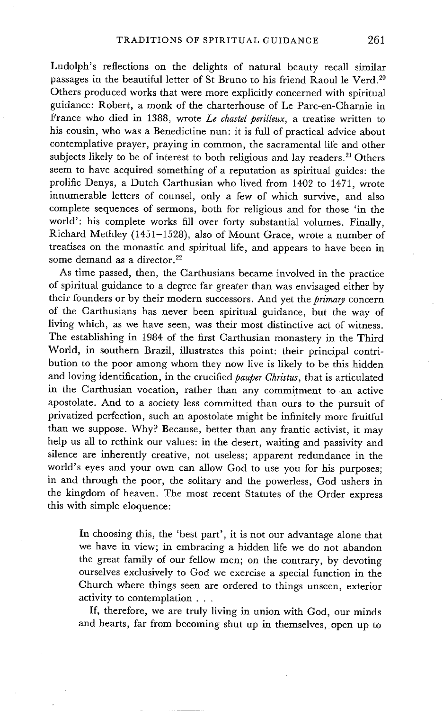Ludolph's reflections on the delights of natural beauty recall similar passages in the beautiful letter of St Bruno to his friend Raoul le Verd.<sup>20</sup> Others produced works that were more explicitly concerned with spiritual guidance: Robert, a monk of the charterhouse of Le Parc-en-Charnie in France who died in 1388, wrote *Le chastel periUeux,* a treatise written to his cousin, who was a Benedictine nun: it is full of practical advice about contemplative prayer, praying in common, the sacramental life and other subjects likely to be of interest to both religious and lay readers.<sup>21</sup> Others seem to have acquired something of a reputation as spiritual guides: the prolific Denys, a Dutch Carthusian who lived from 1402 to 1471, wrote innumerable letters of counsel, only a few of which survive, and also complete sequences of sermons, both for religious and for those 'in the world': his complete works fill over forty substantial volumes. Finally, Richard Methley (1451-1528), also of Mount Grace, wrote a number of treatises on the monastic and spiritual life, and appears to have been in some demand as a director.<sup>22</sup>

As time passed, then, the Carthusians became involved in the practice of spiritual guidance to a degree far greater than was envisaged either by their founders or by their modern successors. And yet the *primary* concern of the Carthusians has never been spiritual guidance, but the way of living which, as we have seen, was their most distinctive act of witness. The establishing in 1984 of the first Carthusian monastery in the Third World, in southern Brazil, illustrates this point: their principal contribution to the poor among whom they now live is likely to be this hidden and loving identification, in the crucified *pauper Christus,* that is articulated in the Carthusian vocation, rather than any commitment to an active apostolate. And to a society less committed than ours to the pursuit of privatized perfection, such an apostolate might be infinitely more fruitful than we suppose. Why? Because, better than any frantic activist, it may help us all to rethink our values: in the desert, waiting and passivity and silence are inherently creative, not useless; apparent redundance in the world's eyes and your own can allow God to use you for his purposes; in and through the poor, the solitary and the powerless, God ushers in the kingdom of heaven. The most recent Statutes of the Order express this with simple eloquence:

In choosing this, the 'best part', it is not our advantage alone that we have in view; in embracing a hidden life we do not abandon the great family of our fellow men; on the contrary, by devoting ourselves exclusively to God we exercise a special function in the Church where things seen are ordered to things unseen, exterior activity to contemplation...

If, therefore, we are truly living in union with God, our minds and hearts, far from becoming shut up in themselves, open up to